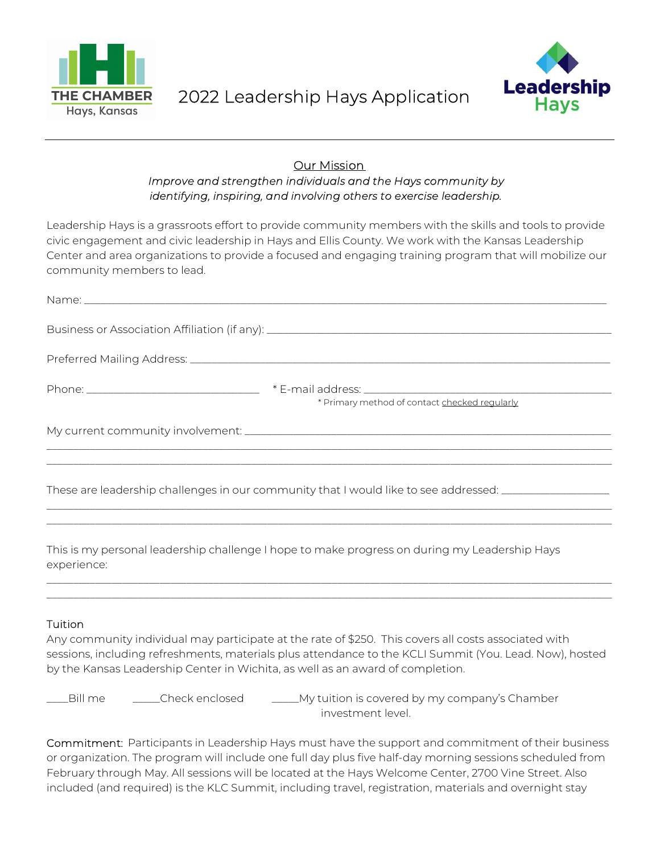



## **Our Mission** Improve and strengthen individuals and the Hays community by identifying, inspiring, and involving others to exercise leadership.

Leadership Hays is a grassroots effort to provide community members with the skills and tools to provide civic engagement and civic leadership in Hays and Ellis County. We work with the Kansas Leadership Center and area organizations to provide a focused and engaging training program that will mobilize our community members to lead.

| * Primary method of contact checked regularly                                                        |
|------------------------------------------------------------------------------------------------------|
|                                                                                                      |
| These are leadership challenges in our community that I would like to see addressed: _______________ |
| This is my personal leadership challenge I hope to make progress on during my Leadership Hays        |

## Tuition

experience:

Any community individual may participate at the rate of \$250. This covers all costs associated with sessions, including refreshments, materials plus attendance to the KCLI Summit (You. Lead. Now), hosted by the Kansas Leadership Center in Wichita, as well as an award of completion.

\_\_\_\_\_\_\_\_\_\_\_\_\_\_\_\_\_\_\_\_\_\_\_\_\_\_\_\_\_\_\_\_\_\_\_\_\_\_\_\_\_\_\_\_\_\_\_\_\_\_\_\_\_\_\_\_\_\_\_\_\_\_\_\_\_\_\_\_\_\_\_\_\_\_\_\_\_\_\_\_\_\_\_\_\_\_\_\_\_\_\_\_\_\_\_\_\_\_\_\_\_\_\_\_\_ \_\_\_\_\_\_\_\_\_\_\_\_\_\_\_\_\_\_\_\_\_\_\_\_\_\_\_\_\_\_\_\_\_\_\_\_\_\_\_\_\_\_\_\_\_\_\_\_\_\_\_\_\_\_\_\_\_\_\_\_\_\_\_\_\_\_\_\_\_\_\_\_\_\_\_\_\_\_\_\_\_\_\_\_\_\_\_\_\_\_\_\_\_\_\_\_\_\_\_\_\_\_\_\_\_

LBill me \_\_\_\_\_\_Check enclosed \_\_\_\_\_\_My tuition is covered by my company's Chamber investment level.

Commitment: Participants in Leadership Hays must have the support and commitment of their business or organization. The program will include one full day plus five half-day morning sessions scheduled from February through May. All sessions will be located at the Hays Welcome Center, 2700 Vine Street. Also included (and required) is the KLC Summit, including travel, registration, materials and overnight stay